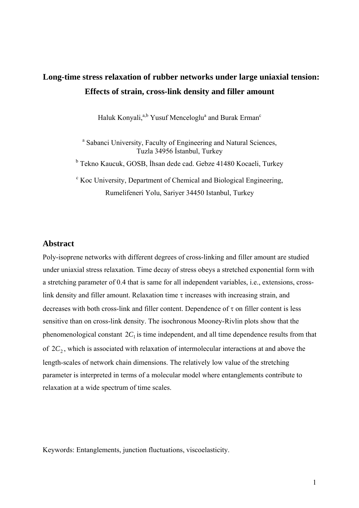# **Long-time stress relaxation of rubber networks under large uniaxial tension: Effects of strain, cross-link density and filler amount**

Haluk Konyali,<sup>a,b</sup> Yusuf Menceloglu<sup>a</sup> and Burak Erman<sup>c</sup>

<sup>a</sup> Sabanci University, Faculty of Engineering and Natural Sciences, Tuzla 34956 İstanbul, Turkey

<sup>b</sup> Tekno Kaucuk, GOSB, İhsan dede cad. Gebze 41480 Kocaeli, Turkey

<sup>c</sup> Koc University, Department of Chemical and Biological Engineering, Rumelifeneri Yolu, Sariyer 34450 Istanbul, Turkey

### **Abstract**

Poly-isoprene networks with different degrees of cross-linking and filler amount are studied under uniaxial stress relaxation. Time decay of stress obeys a stretched exponential form with a stretching parameter of 0.4 that is same for all independent variables, i.e., extensions, crosslink density and filler amount. Relaxation time  $\tau$  increases with increasing strain, and decreases with both cross-link and filler content. Dependence of τ on filler content is less sensitive than on cross-link density. The isochronous Mooney-Rivlin plots show that the phenomenological constant  $2C_1$  is time independent, and all time dependence results from that of  $2C_2$ , which is associated with relaxation of intermolecular interactions at and above the length-scales of network chain dimensions. The relatively low value of the stretching parameter is interpreted in terms of a molecular model where entanglements contribute to relaxation at a wide spectrum of time scales.

Keywords: Entanglements, junction fluctuations, viscoelasticity.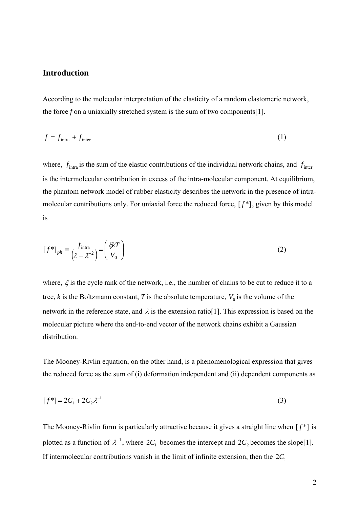# **Introduction**

According to the molecular interpretation of the elasticity of a random elastomeric network, the force *f* on a uniaxially stretched system is the sum of two components[1].

$$
f = f_{\text{intra}} + f_{\text{inter}} \tag{1}
$$

where,  $f_{\text{intra}}$  is the sum of the elastic contributions of the individual network chains, and  $f_{\text{inter}}$ is the intermolecular contribution in excess of the intra-molecular component. At equilibrium, the phantom network model of rubber elasticity describes the network in the presence of intramolecular contributions only. For uniaxial force the reduced force, [ *f* \*], given by this model is

$$
[f^*]_{ph} \equiv \frac{f_{\text{intra}}}{(\lambda - \lambda^{-2})} = \left(\frac{\xi kT}{V_0}\right)
$$
 (2)

where,  $\xi$  is the cycle rank of the network, i.e., the number of chains to be cut to reduce it to a tree, *k* is the Boltzmann constant, *T* is the absolute temperature,  $V_0$  is the volume of the network in the reference state, and  $\lambda$  is the extension ratio[1]. This expression is based on the molecular picture where the end-to-end vector of the network chains exhibit a Gaussian distribution.

The Mooney-Rivlin equation, on the other hand, is a phenomenological expression that gives the reduced force as the sum of (i) deformation independent and (ii) dependent components as

$$
[f^*] = 2C_1 + 2C_2 \lambda^{-1}
$$
 (3)

The Mooney-Rivlin form is particularly attractive because it gives a straight line when  $[f^*]$  is plotted as a function of  $\lambda^{-1}$ , where  $2C_1$  becomes the intercept and  $2C_2$  becomes the slope[1]. If intermolecular contributions vanish in the limit of infinite extension, then the  $2C_1$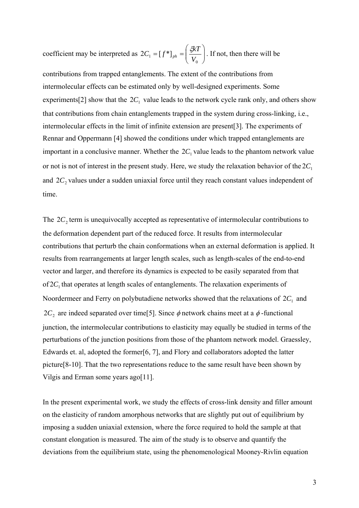coefficient may be interpreted as  $2C_1 = [f^*]_{ph} = \frac{5\kappa T}{V}$ ⎠ ⎞  $\overline{\phantom{a}}$ ⎝  $=[f^*]_{ab} =$  $2C_1 = [f^*]_{ph} = \left(\frac{\xi kT}{V_0}\right)$ . If not, then there will be

contributions from trapped entanglements. The extent of the contributions from intermolecular effects can be estimated only by well-designed experiments. Some experiments[2] show that the  $2C_1$  value leads to the network cycle rank only, and others show that contributions from chain entanglements trapped in the system during cross-linking, i.e., intermolecular effects in the limit of infinite extension are present[3]. The experiments of Rennar and Oppermann [4] showed the conditions under which trapped entanglements are important in a conclusive manner. Whether the  $2C_1$  value leads to the phantom network value or not is not of interest in the present study. Here, we study the relaxation behavior of the  $2C_1$ and  $2C_2$  values under a sudden uniaxial force until they reach constant values independent of time.

The  $2C_2$  term is unequivocally accepted as representative of intermolecular contributions to the deformation dependent part of the reduced force. It results from intermolecular contributions that perturb the chain conformations when an external deformation is applied. It results from rearrangements at larger length scales, such as length-scales of the end-to-end vector and larger, and therefore its dynamics is expected to be easily separated from that  $of 2C<sub>1</sub>$  that operates at length scales of entanglements. The relaxation experiments of Noordermeer and Ferry on polybutadiene networks showed that the relaxations of  $2C_1$  and  $2C_2$  are indeed separated over time<sup>[5]</sup>. Since  $\phi$  network chains meet at a  $\phi$ -functional junction, the intermolecular contributions to elasticity may equally be studied in terms of the perturbations of the junction positions from those of the phantom network model. Graessley, Edwards et. al, adopted the former[6, 7], and Flory and collaborators adopted the latter picture[8-10]. That the two representations reduce to the same result have been shown by Vilgis and Erman some years ago[11].

In the present experimental work, we study the effects of cross-link density and filler amount on the elasticity of random amorphous networks that are slightly put out of equilibrium by imposing a sudden uniaxial extension, where the force required to hold the sample at that constant elongation is measured. The aim of the study is to observe and quantify the deviations from the equilibrium state, using the phenomenological Mooney-Rivlin equation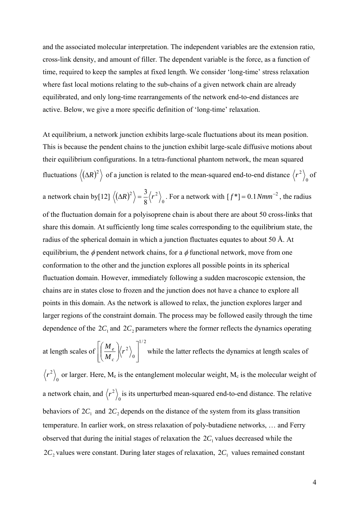and the associated molecular interpretation. The independent variables are the extension ratio, cross-link density, and amount of filler. The dependent variable is the force, as a function of time, required to keep the samples at fixed length. We consider 'long-time' stress relaxation where fast local motions relating to the sub-chains of a given network chain are already equilibrated, and only long-time rearrangements of the network end-to-end distances are active. Below, we give a more specific definition of 'long-time' relaxation.

At equilibrium, a network junction exhibits large-scale fluctuations about its mean position. This is because the pendent chains to the junction exhibit large-scale diffusive motions about their equilibrium configurations. In a tetra-functional phantom network, the mean squared fluctuations  $\langle (\Delta R)^2 \rangle$  of a junction is related to the mean-squared end-to-end distance  $\langle r^2 \rangle_0$  of a network chain by[12]  $\langle (\Delta R)^2 \rangle = \frac{3}{8} \langle r^2 \rangle_0$ 8  $\langle \Delta R \rangle^2$  =  $\frac{3}{2} \langle r^2 \rangle$ . For a network with  $[f^*] = 0.1 Nmm^{-2}$ , the radius of the fluctuation domain for a polyisoprene chain is about there are about 50 cross-links that share this domain. At sufficiently long time scales corresponding to the equilibrium state, the radius of the spherical domain in which a junction fluctuates equates to about 50 Å. At equilibrium, the  $\phi$  pendent network chains, for a  $\phi$  functional network, move from one conformation to the other and the junction explores all possible points in its spherical fluctuation domain. However, immediately following a sudden macroscopic extension, the chains are in states close to frozen and the junction does not have a chance to explore all points in this domain. As the network is allowed to relax, the junction explores larger and larger regions of the constraint domain. The process may be followed easily through the time dependence of the  $2C_1$  and  $2C_2$  parameters where the former reflects the dynamics operating

at length scales of 1/ 2 0 2  $\overline{\phantom{a}}$  $\overline{\phantom{a}}$ ⎦  $\overline{\phantom{a}}$  $\mathsf I$  $\mathsf{I}$ ⎣  $\mathsf L$  $\sqrt{2}$ ⎠ ⎞  $\overline{\phantom{a}}$ ⎝  $\big($ *r M M c*  $\frac{e}{r^2}$  while the latter reflects the dynamics at length scales of  $\boldsymbol{0}$  $r^2$ , or larger. Here, M<sub>e</sub> is the entanglement molecular weight, M<sub>c</sub> is the molecular weight of a network chain, and  $\langle r^2 \rangle_0$  is its unperturbed mean-squared end-to-end distance. The relative behaviors of  $2C_1$  and  $2C_2$  depends on the distance of the system from its glass transition temperature. In earlier work, on stress relaxation of poly-butadiene networks, … and Ferry observed that during the initial stages of relaxation the  $2C<sub>1</sub>$  values decreased while the  $2C_2$  values were constant. During later stages of relaxation,  $2C_1$  values remained constant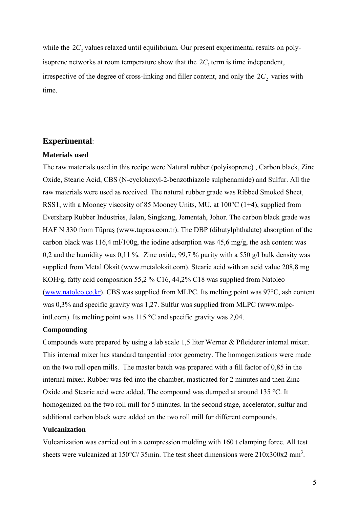while the  $2C_2$  values relaxed until equilibrium. Our present experimental results on polyisoprene networks at room temperature show that the  $2C_1$  term is time independent, irrespective of the degree of cross-linking and filler content, and only the  $2C_2$  varies with time.

## **Experimental**:

### **Materials used**

The raw materials used in this recipe were Natural rubber (polyisoprene) , Carbon black, Zinc Oxide, Stearic Acid, CBS (N-cyclohexyl-2-benzothiazole sulphenamide) and Sulfur. All the raw materials were used as received. The natural rubber grade was Ribbed Smoked Sheet, RSS1, with a Mooney viscosity of 85 Mooney Units, MU, at 100°C (1+4), supplied from Eversharp Rubber Industries, Jalan, Singkang, Jementah, Johor. The carbon black grade was HAF N 330 from Tüpraş (www.tupras.com.tr). The DBP (dibutylphthalate) absorption of the carbon black was 116,4 ml/100g, the iodine adsorption was 45,6 mg/g, the ash content was 0,2 and the humidity was 0,11 %. Zinc oxide, 99,7 % purity with a 550 g/l bulk density was supplied from Metal Oksit (www.metaloksit.com). Stearic acid with an acid value 208,8 mg KOH/g, fatty acid composition 55,2 % C16, 44,2% C18 was supplied from Natoleo (www.natoleo.co.kr). CBS was supplied from MLPC. Its melting point was 97°C, ash content was 0,3% and specific gravity was 1,27. Sulfur was supplied from MLPC (www.mlpcintl.com). Its melting point was 115 °C and specific gravity was 2,04.

## **Compounding**

Compounds were prepared by using a lab scale 1,5 liter Werner & Pfleiderer internal mixer. This internal mixer has standard tangential rotor geometry. The homogenizations were made on the two roll open mills. The master batch was prepared with a fill factor of 0,85 in the internal mixer. Rubber was fed into the chamber, masticated for 2 minutes and then Zinc Oxide and Stearic acid were added. The compound was dumped at around 135 °C. It homogenized on the two roll mill for 5 minutes. In the second stage, accelerator, sulfur and additional carbon black were added on the two roll mill for different compounds.

#### **Vulcanization**

Vulcanization was carried out in a compression molding with 160 t clamping force. All test sheets were vulcanized at  $150^{\circ}$ C/35min. The test sheet dimensions were  $210x300x2$  mm<sup>3</sup>.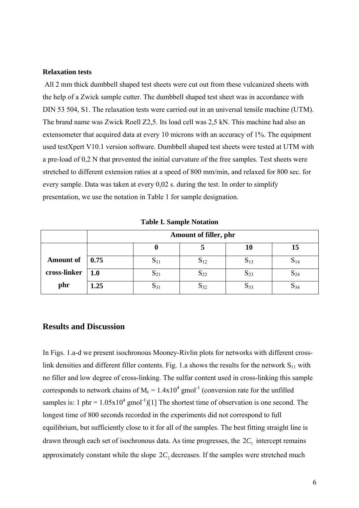#### **Relaxation tests**

 All 2 mm thick dumbbell shaped test sheets were cut out from these vulcanized sheets with the help of a Zwick sample cutter. The dumbbell shaped test sheet was in accordance with DIN 53 504, S1. The relaxation tests were carried out in an universal tensile machine (UTM). The brand name was Zwick Roell Z2,5. Its load cell was 2,5 kN. This machine had also an extensometer that acquired data at every 10 microns with an accuracy of 1%. The equipment used testXpert V10.1 version software. Dumbbell shaped test sheets were tested at UTM with a pre-load of 0,2 N that prevented the initial curvature of the free samples. Test sheets were stretched to different extension ratios at a speed of 800 mm/min, and relaxed for 800 sec. for every sample. Data was taken at every 0,02 s. during the test. In order to simplify presentation, we use the notation in Table 1 for sample designation.

|                  | Amount of filler, phr |  |                   |                   |                  |
|------------------|-----------------------|--|-------------------|-------------------|------------------|
|                  |                       |  |                   | 10                | 15               |
| <b>Amount of</b> | 0.75                  |  | $\mathbf{5}_{12}$ | $\mathbf{S}_{13}$ | $\mathcal{D}$ 14 |
| cross-linker     | 1.0                   |  | 22د               | $\mathbf{D}_{23}$ | $\mathbf{D}24$   |
| phr              | 1.25                  |  |                   | $\mathbf{D}33$    | O34              |

**Table I. Sample Notation** 

## **Results and Discussion**

In Figs. 1.a-d we present isochronous Mooney-Rivlin plots for networks with different crosslink densities and different filler contents. Fig. 1.a shows the results for the network  $S_{11}$  with no filler and low degree of cross-linking. The sulfur content used in cross-linking this sample corresponds to network chains of  $M_c = 1.4 \times 10^4$  gmol<sup>-1</sup> (conversion rate for the unfilled samples is: 1 phr =  $1.05 \times 10^4$  gmol<sup>-1</sup>)[1] The shortest time of observation is one second. The longest time of 800 seconds recorded in the experiments did not correspond to full equilibrium, but sufficiently close to it for all of the samples. The best fitting straight line is drawn through each set of isochronous data. As time progresses, the  $2C_1$  intercept remains approximately constant while the slope  $2C_2$  decreases. If the samples were stretched much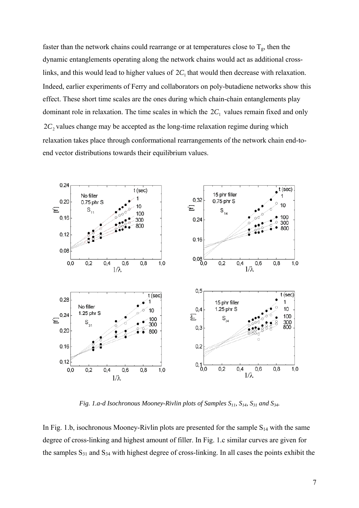faster than the network chains could rearrange or at temperatures close to  $T_g$ , then the dynamic entanglements operating along the network chains would act as additional crosslinks, and this would lead to higher values of  $2C_1$  that would then decrease with relaxation. Indeed, earlier experiments of Ferry and collaborators on poly-butadiene networks show this effect. These short time scales are the ones during which chain-chain entanglements play dominant role in relaxation. The time scales in which the  $2C_1$  values remain fixed and only  $2C_2$  values change may be accepted as the long-time relaxation regime during which relaxation takes place through conformational rearrangements of the network chain end-toend vector distributions towards their equilibrium values.



*Fig. 1.a-d Isochronous Mooney-Rivlin plots of Samples S11, S14, S31 and S34.* 

In Fig. 1.b, isochronous Mooney-Rivlin plots are presented for the sample  $S_{14}$  with the same degree of cross-linking and highest amount of filler. In Fig. 1.c similar curves are given for the samples  $S_{31}$  and  $S_{34}$  with highest degree of cross-linking. In all cases the points exhibit the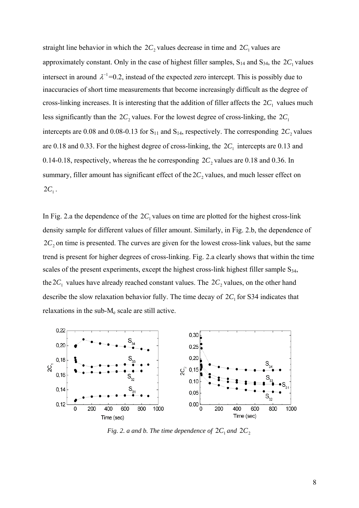straight line behavior in which the  $2C_2$  values decrease in time and  $2C_1$  values are approximately constant. Only in the case of highest filler samples,  $S_{14}$  and  $S_{34}$ , the  $2C_1$  values intersect in around  $\lambda^{-1}$  =0.2, instead of the expected zero intercept. This is possibly due to inaccuracies of short time measurements that become increasingly difficult as the degree of cross-linking increases. It is interesting that the addition of filler affects the  $2C_1$  values much less significantly than the  $2C_2$  values. For the lowest degree of cross-linking, the  $2C_1$ intercepts are 0.08 and 0.08-0.13 for  $S_{11}$  and  $S_{14}$ , respectively. The corresponding  $2C_2$  values are 0.18 and 0.33. For the highest degree of cross-linking, the  $2C_1$  intercepts are 0.13 and 0.14-0.18, respectively, whereas the he corresponding  $2C_2$  values are 0.18 and 0.36. In summary, filler amount has significant effect of the  $2C_2$  values, and much lesser effect on  $2C_1$ .

In Fig. 2.a the dependence of the  $2C_1$  values on time are plotted for the highest cross-link density sample for different values of filler amount. Similarly, in Fig. 2.b, the dependence of  $2C_2$  on time is presented. The curves are given for the lowest cross-link values, but the same trend is present for higher degrees of cross-linking. Fig. 2.a clearly shows that within the time scales of the present experiments, except the highest cross-link highest filler sample  $S_{34}$ , the  $2C_1$  values have already reached constant values. The  $2C_2$  values, on the other hand describe the slow relaxation behavior fully. The time decay of  $2C_1$  for S34 indicates that relaxations in the sub-Me scale are still active.



*Fig. 2. a and b. The time dependence of*  $2C_1$  *and*  $2C_2$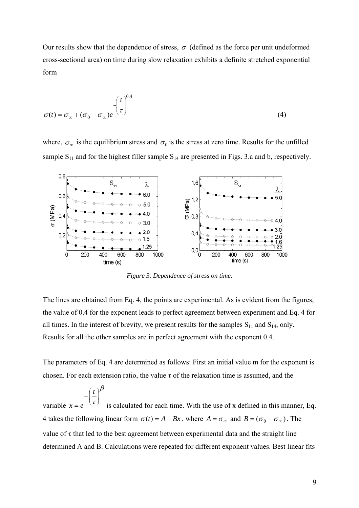Our results show that the dependence of stress,  $\sigma$  (defined as the force per unit undeformed cross-sectional area) on time during slow relaxation exhibits a definite stretched exponential form

$$
\sigma(t) = \sigma_{\infty} + (\sigma_0 - \sigma_{\infty})e^{-\left(\frac{t}{\tau}\right)^{0.4}}
$$
\n(4)

where,  $\sigma_{\infty}$  is the equilibrium stress and  $\sigma_0$  is the stress at zero time. Results for the unfilled sample  $S_{11}$  and for the highest filler sample  $S_{14}$  are presented in Figs. 3.a and b, respectively.



*Figure 3. Dependence of stress on time.* 

The lines are obtained from Eq. 4, the points are experimental. As is evident from the figures, the value of 0.4 for the exponent leads to perfect agreement between experiment and Eq. 4 for all times. In the interest of brevity, we present results for the samples  $S_{11}$  and  $S_{14}$ , only. Results for all the other samples are in perfect agreement with the exponent 0.4.

The parameters of Eq. 4 are determined as follows: First an initial value m for the exponent is chosen. For each extension ratio, the value  $\tau$  of the relaxation time is assumed, and the

variable  $x =$ β  $\frac{l}{\tau}$ ⎠ ⎞  $\parallel$ ⎝ ⎛ − *t is calculated for each time. With the use of x defined in this manner, Eq.* 4 takes the following linear form  $\sigma(t) = A + Bx$ , where  $A = \sigma_{\infty}$  and  $B = (\sigma_0 - \sigma_{\infty})$ . The value of  $\tau$  that led to the best agreement between experimental data and the straight line determined A and B. Calculations were repeated for different exponent values. Best linear fits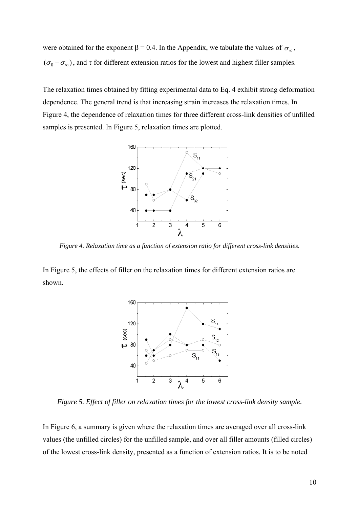were obtained for the exponent  $\beta = 0.4$ . In the Appendix, we tabulate the values of  $\sigma_{\infty}$ ,  $({\sigma}_0 - {\sigma}_\infty)$ , and τ for different extension ratios for the lowest and highest filler samples.

The relaxation times obtained by fitting experimental data to Eq. 4 exhibit strong deformation dependence. The general trend is that increasing strain increases the relaxation times. In Figure 4, the dependence of relaxation times for three different cross-link densities of unfilled samples is presented. In Figure 5, relaxation times are plotted.



*Figure 4. Relaxation time as a function of extension ratio for different cross-link densities.* 

In Figure 5, the effects of filler on the relaxation times for different extension ratios are shown.



*Figure 5. Effect of filler on relaxation times for the lowest cross-link density sample.* 

In Figure 6, a summary is given where the relaxation times are averaged over all cross-link values (the unfilled circles) for the unfilled sample, and over all filler amounts (filled circles) of the lowest cross-link density, presented as a function of extension ratios. It is to be noted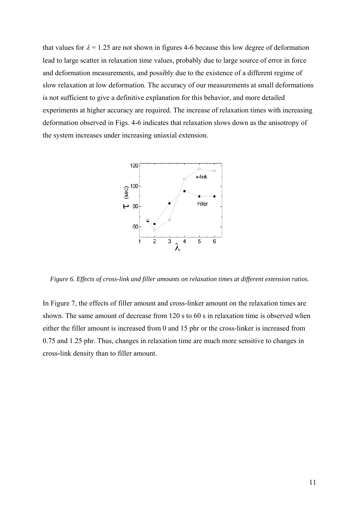that values for  $\lambda = 1.25$  are not shown in figures 4-6 because this low degree of deformation lead to large scatter in relaxation time values, probably due to large source of error in force and deformation measurements, and possibly due to the existence of a different regime of slow relaxation at low deformation. The accuracy of our measurements at small deformations is not sufficient to give a definitive explanation for this behavior, and more detailed experiments at higher accuracy are required. The increase of relaxation times with increasing deformation observed in Figs. 4-6 indicates that relaxation slows down as the anisotropy of the system increases under increasing uniaxial extension.



*Figure 6. Effects of cross-link and filler amounts on relaxation times at different extension ratios.* 

In Figure 7, the effects of filler amount and cross-linker amount on the relaxation times are shown. The same amount of decrease from 120 s to 60 s in relaxation time is observed when either the filler amount is increased from 0 and 15 phr or the cross-linker is increased from 0.75 and 1.25 phr. Thus, changes in relaxation time are much more sensitive to changes in cross-link density than to filler amount.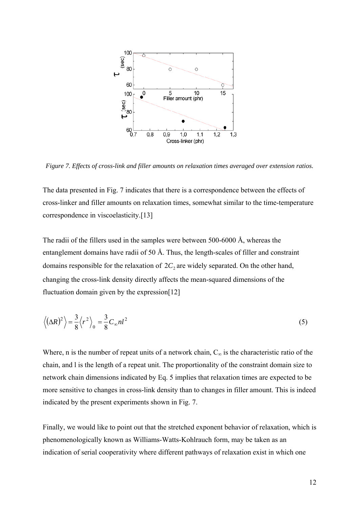

*Figure 7. Effects of cross-link and filler amounts on relaxation times averaged over extension ratios.* 

The data presented in Fig. 7 indicates that there is a correspondence between the effects of cross-linker and filler amounts on relaxation times, somewhat similar to the time-temperature correspondence in viscoelasticity.[13]

The radii of the fillers used in the samples were between 500-6000 Å, whereas the entanglement domains have radii of 50 Å. Thus, the length-scales of filler and constraint domains responsible for the relaxation of  $2C_2$  are widely separated. On the other hand, changing the cross-link density directly affects the mean-squared dimensions of the fluctuation domain given by the expression[12]

$$
\left\langle (\Delta R)^2 \right\rangle = \frac{3}{8} \left\langle r^2 \right\rangle_0 = \frac{3}{8} C_\infty n l^2
$$
 (5)

Where, n is the number of repeat units of a network chain,  $C_{\infty}$  is the characteristic ratio of the chain, and l is the length of a repeat unit. The proportionality of the constraint domain size to network chain dimensions indicated by Eq. 5 implies that relaxation times are expected to be more sensitive to changes in cross-link density than to changes in filler amount. This is indeed indicated by the present experiments shown in Fig. 7.

Finally, we would like to point out that the stretched exponent behavior of relaxation, which is phenomenologically known as Williams-Watts-Kohlrauch form, may be taken as an indication of serial cooperativity where different pathways of relaxation exist in which one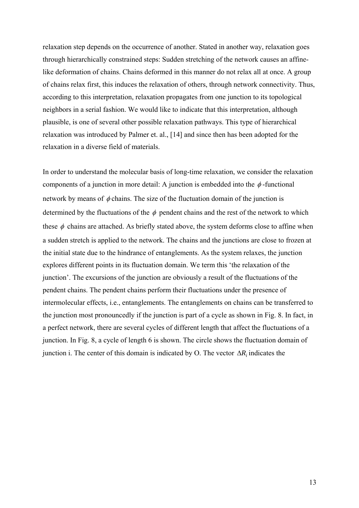relaxation step depends on the occurrence of another. Stated in another way, relaxation goes through hierarchically constrained steps: Sudden stretching of the network causes an affinelike deformation of chains. Chains deformed in this manner do not relax all at once. A group of chains relax first, this induces the relaxation of others, through network connectivity. Thus, according to this interpretation, relaxation propagates from one junction to its topological neighbors in a serial fashion. We would like to indicate that this interpretation, although plausible, is one of several other possible relaxation pathways. This type of hierarchical relaxation was introduced by Palmer et. al., [14] and since then has been adopted for the relaxation in a diverse field of materials.

In order to understand the molecular basis of long-time relaxation, we consider the relaxation components of a junction in more detail: A junction is embedded into the  $\phi$ -functional network by means of  $\phi$  chains. The size of the fluctuation domain of the junction is determined by the fluctuations of the  $\phi$  pendent chains and the rest of the network to which these  $\phi$  chains are attached. As briefly stated above, the system deforms close to affine when a sudden stretch is applied to the network. The chains and the junctions are close to frozen at the initial state due to the hindrance of entanglements. As the system relaxes, the junction explores different points in its fluctuation domain. We term this 'the relaxation of the junction'. The excursions of the junction are obviously a result of the fluctuations of the pendent chains. The pendent chains perform their fluctuations under the presence of intermolecular effects, i.e., entanglements. The entanglements on chains can be transferred to the junction most pronouncedly if the junction is part of a cycle as shown in Fig. 8. In fact, in a perfect network, there are several cycles of different length that affect the fluctuations of a junction. In Fig. 8, a cycle of length 6 is shown. The circle shows the fluctuation domain of junction i. The center of this domain is indicated by O. The vector  $\Delta R_i$  indicates the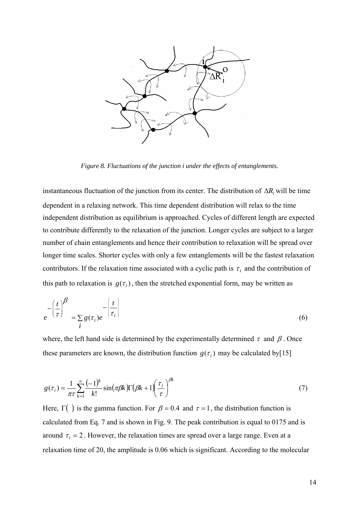

*Figure 8. Fluctuations of the junction i under the effects of entanglements.* 

instantaneous fluctuation of the junction from its center. The distribution of Δ*Ri* will be time dependent in a relaxing network. This time dependent distribution will relax to the time independent distribution as equilibrium is approached. Cycles of different length are expected to contribute differently to the relaxation of the junction. Longer cycles are subject to a larger number of chain entanglements and hence their contribution to relaxation will be spread over longer time scales. Shorter cycles with only a few entanglements will be the fastest relaxation contributors. If the relaxation time associated with a cyclic path is  $\tau_i$  and the contribution of this path to relaxation is  $g(\tau_i)$ , then the stretched exponential form, may be written as

$$
e^{-\left(\frac{t}{\tau}\right)^{\beta}} = \sum_{i} g(\tau_i) e^{-\left(\frac{t}{\tau_i}\right)}
$$
(6)

where, the left hand side is determined by the experimentally determined  $\tau$  and  $\beta$ . Once these parameters are known, the distribution function  $g(\tau_i)$  may be calculated by[15]

$$
g(\tau_i) = \frac{1}{\pi \tau} \sum_{k=1}^{\infty} \frac{(-1)^k}{k!} \sin(\pi \beta k) \Gamma(\beta k + 1) \left(\frac{\tau_i}{\tau}\right)^{\beta k}
$$
 (7)

Here,  $\Gamma$ () is the gamma function. For  $\beta = 0.4$  and  $\tau = 1$ , the distribution function is calculated from Eq. 7 and is shown in Fig. 9. The peak contribution is equal to 0175 and is around  $\tau_i = 2$ . However, the relaxation times are spread over a large range. Even at a relaxation time of 20, the amplitude is 0.06 which is significant. According to the molecular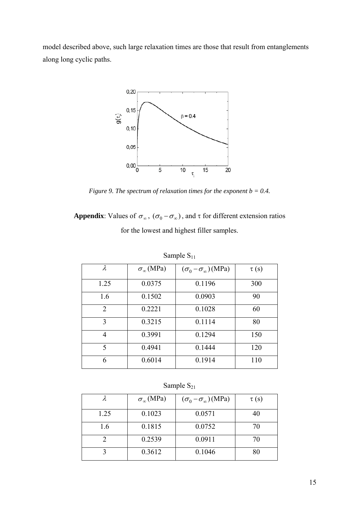model described above, such large relaxation times are those that result from entanglements along long cyclic paths.



*Figure 9. The spectrum of relaxation times for the exponent b = 0.4.* 

**Appendix**: Values of  $\sigma_{\infty}$ ,  $(\sigma_0 - \sigma_{\infty})$ , and  $\tau$  for different extension ratios

for the lowest and highest filler samples.

| $\lambda$                   | $\sigma_{\infty}$ (MPa) | $(\sigma_0 - \sigma_\infty)$ (MPa) | $\tau(s)$ |
|-----------------------------|-------------------------|------------------------------------|-----------|
| 1.25                        | 0.0375                  | 0.1196                             | 300       |
| 1.6                         | 0.1502                  | 0.0903                             | 90        |
| $\mathcal{D}_{\mathcal{L}}$ | 0.2221                  | 0.1028                             | 60        |
| 3                           | 0.3215                  | 0.1114                             | 80        |
| 4                           | 0.3991                  | 0.1294                             | 150       |
| $\varsigma$                 | 0.4941                  | 0.1444                             | 120       |
| 6                           | 0.6014                  | 0.1914                             | 110       |

Sample  $S_{11}$ 

## Sample  $S_{21}$

|      | $\sigma_{\infty}$ (MPa) | $(\sigma_0 - \sigma_\infty)$ (MPa) | $\tau(s)$ |
|------|-------------------------|------------------------------------|-----------|
| 1.25 | 0.1023                  | 0.0571                             | 40        |
| 1.6  | 0.1815                  | 0.0752                             | 70        |
|      | 0.2539                  | 0.0911                             | 70        |
|      | 0.3612                  | 0.1046                             | 80        |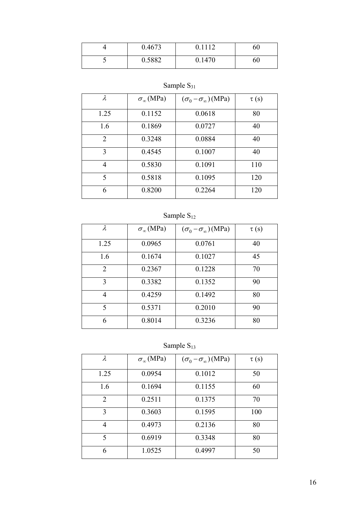|                          | 0.4673 | 1112   | 60 |
|--------------------------|--------|--------|----|
| $\overline{\phantom{0}}$ | 0.5882 | 0.1470 | 60 |

# Sample  $S_{31}$

| $\lambda$ | $\sigma_{\infty}$ (MPa) | $(\sigma_0 - \sigma_\infty)$ (MPa) | $\tau(s)$ |
|-----------|-------------------------|------------------------------------|-----------|
| 1.25      | 0.1152                  | 0.0618                             | 80        |
| 1.6       | 0.1869                  | 0.0727                             | 40        |
| 2         | 0.3248                  | 0.0884                             | 40        |
| 3         | 0.4545                  | 0.1007                             | 40        |
| 4         | 0.5830                  | 0.1091                             | 110       |
| 5         | 0.5818                  | 0.1095                             | 120       |
| 6         | 0.8200                  | 0.2264                             | 120       |

# Sample  $S_{12}$

| λ    | $\sigma_{\infty}$ (MPa) | $(\sigma_0 - \sigma_\infty)$ (MPa) | $\tau(s)$ |
|------|-------------------------|------------------------------------|-----------|
| 1.25 | 0.0965                  | 0.0761                             | 40        |
| 1.6  | 0.1674                  | 0.1027                             | 45        |
| 2    | 0.2367                  | 0.1228                             | 70        |
| 3    | 0.3382                  | 0.1352                             | 90        |
| 4    | 0.4259                  | 0.1492                             | 80        |
| 5    | 0.5371                  | 0.2010                             | 90        |
| 6    | 0.8014                  | 0.3236                             | 80        |

Sample  $S_{13}$ 

| $\lambda$      | $\sigma_{\infty}$ (MPa) | $(\sigma_0 - \sigma_{\infty})$ (MPa) | $\tau(s)$ |
|----------------|-------------------------|--------------------------------------|-----------|
| 1.25           | 0.0954                  | 0.1012                               | 50        |
| 1.6            | 0.1694                  | 0.1155                               | 60        |
| $\overline{2}$ | 0.2511                  | 0.1375                               | 70        |
| 3              | 0.3603                  | 0.1595                               | 100       |
| 4              | 0.4973                  | 0.2136                               | 80        |
| 5              | 0.6919                  | 0.3348                               | 80        |
| 6              | 1.0525                  | 0.4997                               | 50        |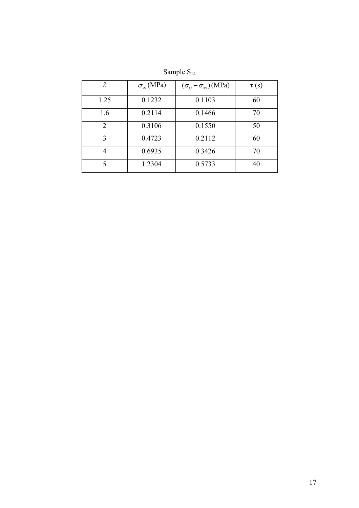| λ    | $\sigma_{\infty}$ (MPa) | $(\sigma_0 - \sigma_\infty)$ (MPa) | $\tau(s)$ |
|------|-------------------------|------------------------------------|-----------|
| 1.25 | 0.1232                  | 0.1103                             | 60        |
| 1.6  | 0.2114                  | 0.1466                             | 70        |
| 2    | 0.3106                  | 0.1550                             | 50        |
| 3    | 0.4723                  | 0.2112                             | 60        |
|      | 0.6935                  | 0.3426                             | 70        |
| 5    | 1.2304                  | 0.5733                             | 40        |

Sample S<sub>14</sub>